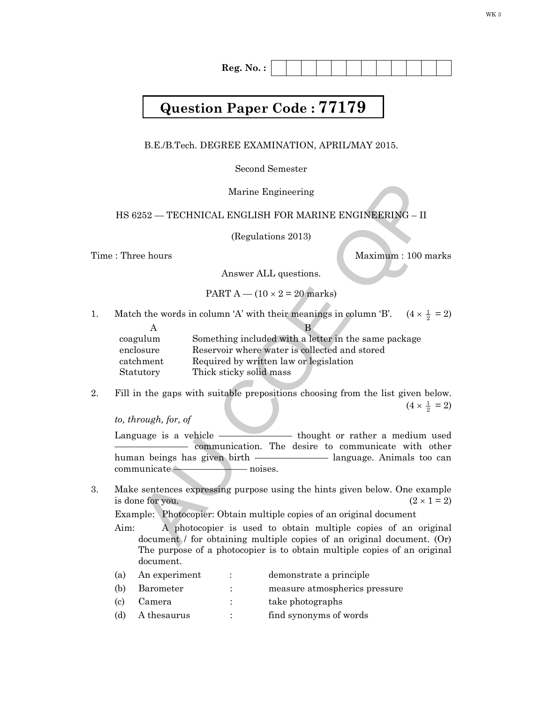**Reg. No. :**

## **Question Paper Code : 77179**

B.E./B.Tech. DEGREE EXAMINATION, APRIL/MAY 2015.

Second Semester

## HS 6252 — TECHNICAL ENGLISH FOR MARINE ENGINEERING – II

Time : Three hours and the matter of the Maximum : 100 marks

PART A – 
$$
(10 \times 2 = 20
$$
 marks)

1. Match the words in column 'A' with their meanings in column 'B'.  $\frac{1}{2}$  = 2)

| Marine Engineering                                                                                                                                                                                                                      |
|-----------------------------------------------------------------------------------------------------------------------------------------------------------------------------------------------------------------------------------------|
| HS 6252 — TECHNICAL ENGLISH FOR MARINE ENGINEERING – II                                                                                                                                                                                 |
| (Regulations 2013)                                                                                                                                                                                                                      |
| Three hours<br>Maximum: 100 marks                                                                                                                                                                                                       |
| Answer ALL questions.                                                                                                                                                                                                                   |
| PART $A - (10 \times 2 = 20$ marks)                                                                                                                                                                                                     |
| Aatch the words in column 'A' with their meanings in column 'B'. $(4 \times \frac{1}{2} = 2)$                                                                                                                                           |
| A<br>В<br>Something included with a letter in the same package<br>coagulum<br>Reservoir where water is collected and stored<br>enclosure<br>catchment<br>Required by written law or legislation<br>Thick sticky solid mass<br>Statutory |
| 'ill in the gaps with suitable prepositions choosing from the list given below.<br>$(4 \times \frac{1}{2} = 2)$<br>o, through, for, of                                                                                                  |
| anguage is a vehicle — thought or rather a medium used<br>communication. The desire to communicate with other                                                                                                                           |
| $\n  on a minute \n$<br>— noises.                                                                                                                                                                                                       |
| Take sentences expressing purpose using the hints given below. One example<br>s done for you.<br>$(2 \times 1 = 2)$                                                                                                                     |
| Example: Photocopier: Obtain multiple copies of an original document<br>.im:<br>A photocopier is used to obtain multiple copies of an original<br>document / for obtaining multiple copies of an original document. (Or)                |

2. Fill in the gaps with suitable prepositions choosing from the list given below.  $(4 \times \frac{1}{2})$  $\frac{1}{2}$  = 2)

*to, through, for, of* 

3. Make sentences expressing purpose using the hints given below. One example is done for you.  $(2 \times 1 = 2)$ 

Aim: A photocopier is used to obtain multiple copies of an original document / for obtaining multiple copies of an original document. (Or) The purpose of a photocopier is to obtain multiple copies of an original document.

| (a) | An experiment |   | demonstrate a principle       |
|-----|---------------|---|-------------------------------|
| (b) | Barometer     |   | measure atmospherics pressure |
| (c) | Camera        | ٠ | take photographs              |
| (d) | A thesaurus   | ٠ | find synonyms of words        |
|     |               |   |                               |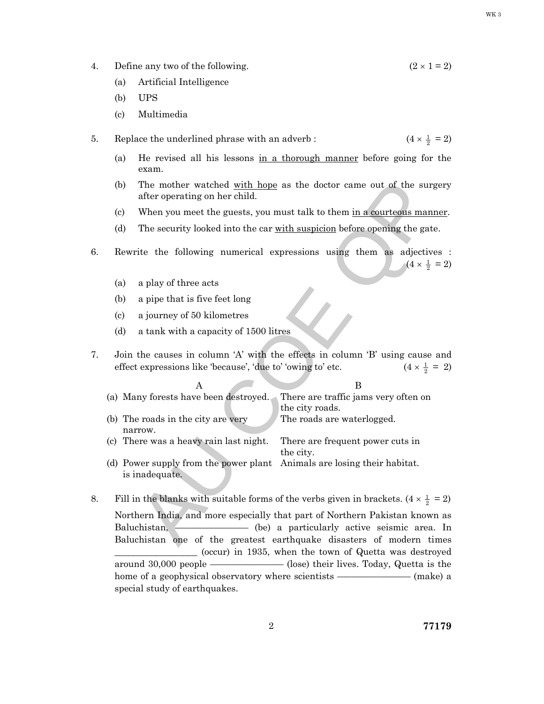- WK 3
- 
- 4. Define any two of the following.  $(2 \times 1 = 2)$ 
	- (a) Artificial Intelligence
	- (b) UPS
	- (c) Multimedia
- 5. Replace the underlined phrase with an adverb :  $\frac{1}{2}$  = 2)
	- (a) He revised all his lessons in a thorough manner before going for the exam.
	- (b) The mother watched with hope as the doctor came out of the surgery after operating on her child.
	- (c) When you meet the guests, you must talk to them in a courteous manner.
	- (d) The security looked into the car with suspicion before opening the gate.
- 6. Rewrite the following numerical expressions using them as adjectives :  $(4 \times \frac{1}{2})$  $\frac{1}{2}$  = 2)
	- (a) a play of three acts
	- (b) a pipe that is five feet long
	- (c) a journey of 50 kilometres
	- (d) a tank with a capacity of 1500 litres
- 7. Join the causes in column 'A' with the effects in column 'B' using cause and effect expressions like 'because', 'due to' 'owing to' etc.  $\frac{1}{2}$  = 2)

| (b)                      | The mother watched with hope as the doctor came out of the surgery<br>after operating on her child.                                                                         |
|--------------------------|-----------------------------------------------------------------------------------------------------------------------------------------------------------------------------|
| $\left( \text{c}\right)$ | When you meet the guests, you must talk to them in a courteous manner.                                                                                                      |
| (d)                      | The security looked into the car with suspicion before opening the gate.                                                                                                    |
|                          | Rewrite the following numerical expressions using them as adjectives :<br>$(4 \times \frac{1}{2} = 2)$                                                                      |
| (a)                      | a play of three acts                                                                                                                                                        |
| (b)                      | a pipe that is five feet long                                                                                                                                               |
| (c)                      | a journey of 50 kilometres                                                                                                                                                  |
| (d)                      | a tank with a capacity of 1500 litres                                                                                                                                       |
|                          | Join the causes in column 'A' with the effects in column 'B' using cause and<br>$(4 \times \frac{1}{2} = 2)$<br>effect expressions like 'because', 'due to' 'owing to' etc. |
|                          | A<br>B                                                                                                                                                                      |
|                          |                                                                                                                                                                             |
|                          | (a) Many forests have been destroyed.<br>There are traffic jams very often on                                                                                               |
|                          | the city roads.<br>The roads are waterlogged.<br>(b) The roads in the city are very                                                                                         |
|                          | narrow.<br>(c) There was a heavy rain last night.<br>There are frequent power cuts in                                                                                       |
|                          | the city.<br>(d) Power supply from the power plant<br>Animals are losing their habitat.<br>is inadequate.                                                                   |
|                          | Fill in the blanks with suitable forms of the verbs given in brackets. $(4 \times \frac{1}{2} = 2)$                                                                         |
|                          | Northern India, and more especially that part of Northern Pakistan known as                                                                                                 |
|                          | (be) a particularly active seismic area. In<br>Baluchistan,<br>Baluchistan one of the greatest earthquake disasters of modern times                                         |

8. Fill in the blanks with suitable forms of the verbs given in brackets.  $(4 \times \frac{1}{2} = 2)$ Northern India, and more especially that part of Northern Pakistan known as Baluchistan, ———————— (be) a particularly active seismic area. In Baluchistan one of the greatest earthquake disasters of modern times \_\_\_\_\_\_\_\_\_\_\_\_\_\_\_\_\_\_ (occur) in 1935, when the town of Quetta was destroyed around 30,000 people ———————— (lose) their lives. Today, Quetta is the home of a geophysical observatory where scientists ——————— (make) a special study of earthquakes.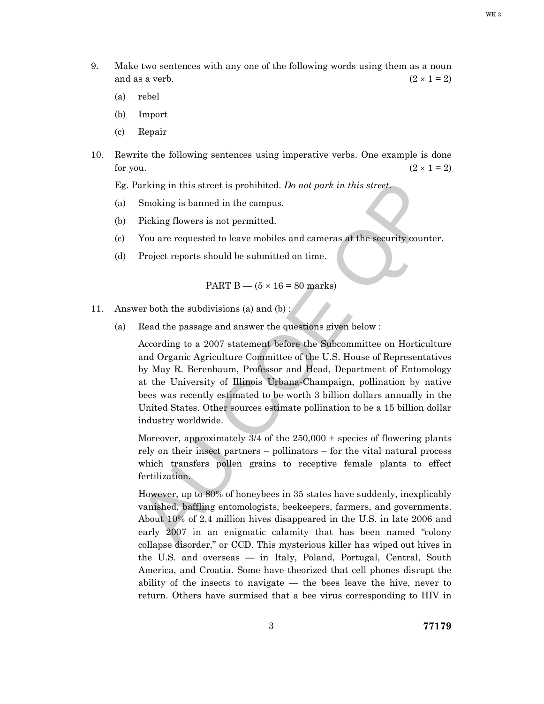9. Make two sentences with any one of the following words using them as a noun and as a verb.  $(2 \times 1 = 2)$ 

(a) rebel

- (b) Import
- (c) Repair
- 10. Rewrite the following sentences using imperative verbs. One example is done for you.  $(2 \times 1 = 2)$

Eg. Parking in this street is prohibited. *Do not park in this street*.

- (a) Smoking is banned in the campus.
- (b) Picking flowers is not permitted.
- (c) You are requested to leave mobiles and cameras at the security counter.
- (d) Project reports should be submitted on time.

PART B — 
$$
(5 \times 16 = 80
$$
 marks)

- 11. Answer both the subdivisions (a) and (b) :
	- (a) Read the passage and answer the questions given below :

Parking in this street is prohibited. Do not park in this street.<br>
Smoking is banned in the campus.<br>
Ficking flowers is not permitted.<br>
You are requested to leave mobiles and cameras at the security counter.<br>
Project repo According to a 2007 statement before the Subcommittee on Horticulture and Organic Agriculture Committee of the U.S. House of Representatives by May R. Berenbaum, Professor and Head, Department of Entomology at the University of Illinois Urbana-Champaign, pollination by native bees was recently estimated to be worth 3 billion dollars annually in the United States. Other sources estimate pollination to be a 15 billion dollar industry worldwide.

Moreover, approximately  $\frac{3}{4}$  of the 250,000 + species of flowering plants rely on their insect partners – pollinators – for the vital natural process which transfers pollen grains to receptive female plants to effect fertilization.

 However, up to 80% of honeybees in 35 states have suddenly, inexplicably vanished, baffling entomologists, beekeepers, farmers, and governments. About 10% of 2.4 million hives disappeared in the U.S. in late 2006 and early 2007 in an enigmatic calamity that has been named "colony collapse disorder," or CCD. This mysterious killer has wiped out hives in the U.S. and overseas — in Italy, Poland, Portugal, Central, South America, and Croatia. Some have theorized that cell phones disrupt the ability of the insects to navigate — the bees leave the hive, never to return. Others have surmised that a bee virus corresponding to HIV in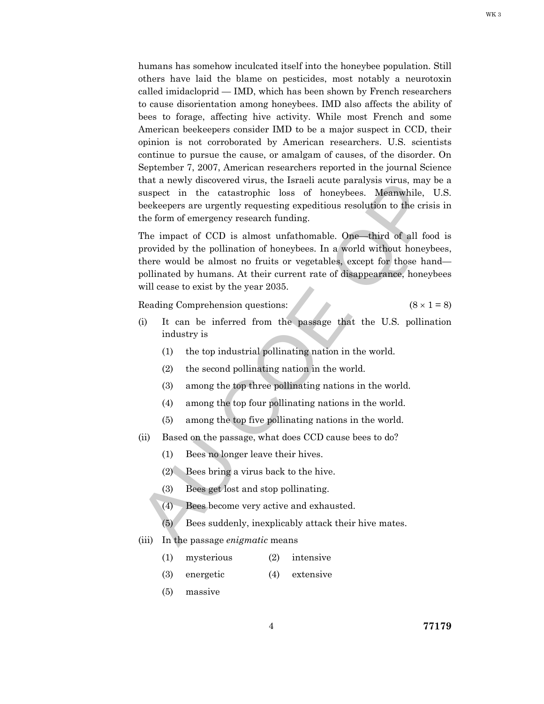humans has somehow inculcated itself into the honeybee population. Still others have laid the blame on pesticides, most notably a neurotoxin called imidacloprid — IMD, which has been shown by French researchers to cause disorientation among honeybees. IMD also affects the ability of bees to forage, affecting hive activity. While most French and some American beekeepers consider IMD to be a major suspect in CCD, their opinion is not corroborated by American researchers. U.S. scientists continue to pursue the cause, or amalgam of causes, of the disorder. On September 7, 2007, American researchers reported in the journal Science that a newly discovered virus, the Israeli acute paralysis virus, may be a suspect in the catastrophic loss of honeybees. Meanwhile, U.S. beekeepers are urgently requesting expeditious resolution to the crisis in the form of emergency research funding.

that a newly discovered virus, the Israeli action<br>suspect in the catastrophic loss of honeybees. Meanwhile, U.S.<br>beckeepers are urgently requesting expeditious resolution to the crisis in<br>the form of emergency research fu The impact of CCD is almost unfathomable. One—third of all food is provided by the pollination of honeybees. In a world without honeybees, there would be almost no fruits or vegetables, except for those hand pollinated by humans. At their current rate of disappearance, honeybees will cease to exist by the year 2035.

Reading Comprehension questions:  $(8 \times 1 = 8)$ 

- (i) It can be inferred from the passage that the U.S. pollination industry is
	- (1) the top industrial pollinating nation in the world.
	- (2) the second pollinating nation in the world.
	- (3) among the top three pollinating nations in the world.
	- (4) among the top four pollinating nations in the world.
	- (5) among the top five pollinating nations in the world.
- (ii) Based on the passage, what does CCD cause bees to do?
	- (1) Bees no longer leave their hives.
	- (2) Bees bring a virus back to the hive.
	- (3) Bees get lost and stop pollinating.
	- (4) Bees become very active and exhausted.
	- $(5)$  Bees suddenly, inexplicably attack their hive mates.
- (iii) In the passage *enigmatic* means
	- (1) mysterious (2) intensive
	- (3) energetic (4) extensive
	- (5) massive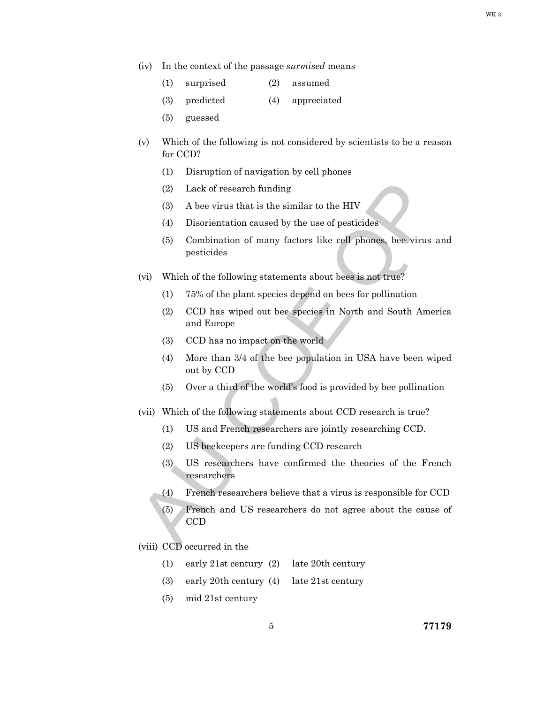- (iv) In the context of the passage *surmised* means
	- (1) surprised (2) assumed
	- (3) predicted (4) appreciated
	- (5) guessed
- (v) Which of the following is not considered by scientists to be a reason for CCD?
	- (1) Disruption of navigation by cell phones
	- (2) Lack of research funding
	- (3) A bee virus that is the similar to the HIV
	- (4) Disorientation caused by the use of pesticides
	- (5) Combination of many factors like cell phones, bee virus and pesticides
- (vi) Which of the following statements about bees is not true?
	- (1) 75% of the plant species depend on bees for pollination
	- (2) CCD has wiped out bee species in North and South America and Europe
	- (3) CCD has no impact on the world
	- (4) More than 3/4 of the bee population in USA have been wiped out by CCD
	- (5) Over a third of the world's food is provided by bee pollination
- (vii) Which of the following statements about CCD research is true?
	- (1) US and French researchers are jointly researching CCD.
	- (2) US beekeepers are funding CCD research
	- (3) US researchers have confirmed the theories of the French researchers
	- (4) French researchers believe that a virus is responsible for CCD
- (2) Lack of research funding<br>
(3) A bee virus that is the similar to the HIV<br>
(4) Disorientation caused by the use of pesticides<br>
(5) Combination of many factors like cell phones, bee virus and<br>
pesticides<br>
(vi) Which of (5) French and US researchers do not agree about the cause of CCD

(viii) CCD occurred in the

- (1) early 21st century (2) late 20th century
- (3) early 20th century (4) late 21st century
- (5) mid 21st century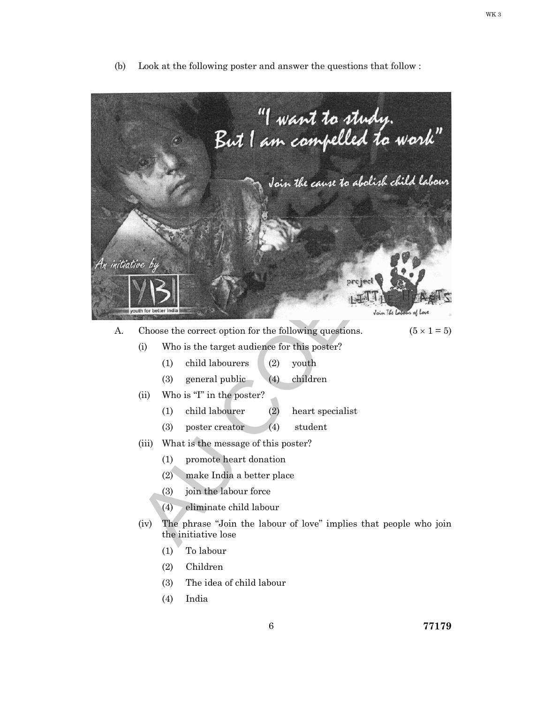- "I want to study.<br>But I am compelled to work" Voir *ille cause* to abolish child labour<br>
inc. by<br>
we by<br>
We choose the correct option for the following questions.<br>
(b) Who is the target audience for this poster?<br>
(d) child labourers (2) youth<br>
(ii) Who is "I" in the A. Choose the correct option for the following questions.  $(5 \times 1 = 5)$  (i) Who is the target audience for this poster? (1) child labourers (2) youth (3) general public (4) children (ii) Who is "I" in the poster? (1) child labourer (2) heart specialist (3) poster creator (4) student (iii) What is the message of this poster? (1) promote heart donation (2) make India a better place (3) join the labour force (4) eliminate child labour (iv) The phrase "Join the labour of love" implies that people who join
- (b) Look at the following poster and answer the questions that follow :

the initiative lose (1) To labour (2) Children

(4) India

(3) The idea of child labour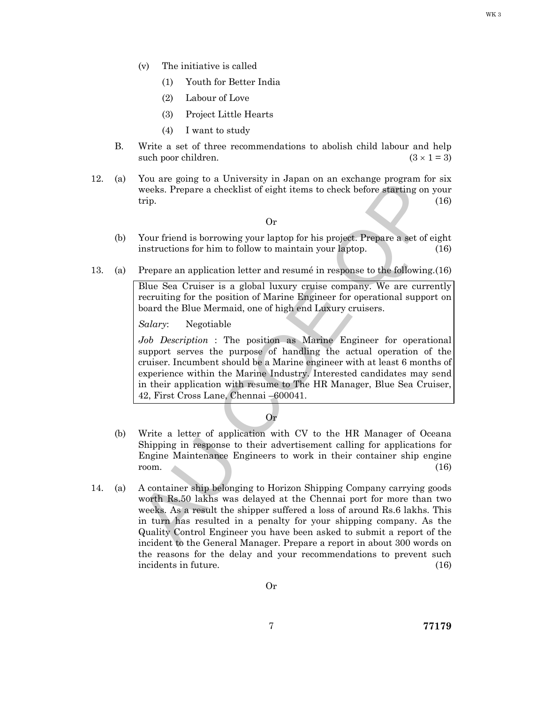- (v) The initiative is called
	- (1) Youth for Better India
	- (2) Labour of Love
	- (3) Project Little Hearts
	- (4) I want to study
- B. Write a set of three recommendations to abolish child labour and help such poor children. (3  $\times$  1 = 3)
- 12. (a) You are going to a University in Japan on an exchange program for six weeks. Prepare a checklist of eight items to check before starting on your trip.  $(16)$

Or

- (b) Your friend is borrowing your laptop for his project. Prepare a set of eight instructions for him to follow to maintain your laptop. (16)
- 13. (a) Prepare an application letter and resumé in response to the following. (16)

 Blue Sea Cruiser is a global luxury cruise company. We are currently recruiting for the position of Marine Engineer for operational support on board the Blue Mermaid, one of high end Luxury cruisers.

*Salary*: Negotiable

For the going to a conversivy mappin on an examing propram for sixt<br>veeks. Prepare a checklist of eight items to check before starting on your<br>trip.<br>Your friend is borrowing your laptop for his project. Prepare a set of e *Job Description* : The position as Marine Engineer for operational support serves the purpose of handling the actual operation of the cruiser. Incumbent should be a Marine engineer with at least 6 months of experience within the Marine Industry. Interested candidates may send in their application with resume to The HR Manager, Blue Sea Cruiser, 42, First Cross Lane, Chennai –600041.

Or

- (b) Write a letter of application with CV to the HR Manager of Oceana Shipping in response to their advertisement calling for applications for Engine Maintenance Engineers to work in their container ship engine room.  $(16)$
- 14. (a) A container ship belonging to Horizon Shipping Company carrying goods worth Rs.50 lakhs was delayed at the Chennai port for more than two weeks. As a result the shipper suffered a loss of around Rs.6 lakhs. This in turn has resulted in a penalty for your shipping company. As the Quality Control Engineer you have been asked to submit a report of the incident to the General Manager. Prepare a report in about 300 words on the reasons for the delay and your recommendations to prevent such incidents in future. (16)

Or